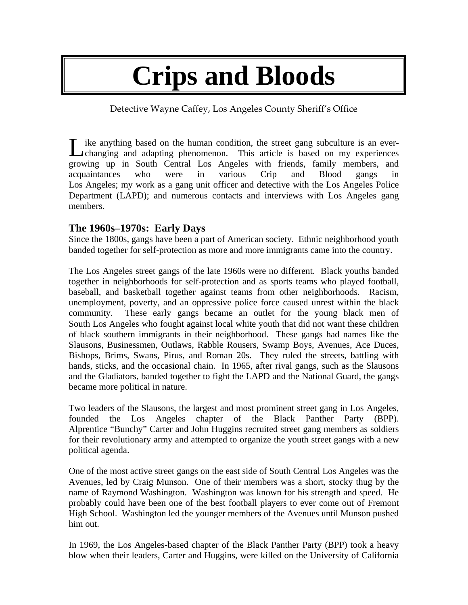# **Crips and Bloods**

Detective Wayne Caffey, Los Angeles County Sheriff's Office

Like anything based on the human condition, the street gang subculture is an ever-<br>
changing and adapting phenomenon. This article is based on my experiences changing and adapting phenomenon. This article is based on my experiences growing up in South Central Los Angeles with friends, family members, and acquaintances who were in various Crip and Blood gangs in Los Angeles; my work as a gang unit officer and detective with the Los Angeles Police Department (LAPD); and numerous contacts and interviews with Los Angeles gang members.

## **The 1960s–1970s: Early Days**

Since the 1800s, gangs have been a part of American society. Ethnic neighborhood youth banded together for self-protection as more and more immigrants came into the country.

The Los Angeles street gangs of the late 1960s were no different. Black youths banded together in neighborhoods for self-protection and as sports teams who played football, baseball, and basketball together against teams from other neighborhoods. Racism, unemployment, poverty, and an oppressive police force caused unrest within the black community. These early gangs became an outlet for the young black men of South Los Angeles who fought against local white youth that did not want these children of black southern immigrants in their neighborhood. These gangs had names like the Slausons, Businessmen, Outlaws, Rabble Rousers, Swamp Boys, Avenues, Ace Duces, Bishops, Brims, Swans, Pirus, and Roman 20s. They ruled the streets, battling with hands, sticks, and the occasional chain. In 1965, after rival gangs, such as the Slausons and the Gladiators, banded together to fight the LAPD and the National Guard, the gangs became more political in nature.

Two leaders of the Slausons, the largest and most prominent street gang in Los Angeles, founded the Los Angeles chapter of the Black Panther Party (BPP). Alprentice "Bunchy" Carter and John Huggins recruited street gang members as soldiers for their revolutionary army and attempted to organize the youth street gangs with a new political agenda.

One of the most active street gangs on the east side of South Central Los Angeles was the Avenues, led by Craig Munson. One of their members was a short, stocky thug by the name of Raymond Washington. Washington was known for his strength and speed. He probably could have been one of the best football players to ever come out of Fremont High School. Washington led the younger members of the Avenues until Munson pushed him out.

In 1969, the Los Angeles-based chapter of the Black Panther Party (BPP) took a heavy blow when their leaders, Carter and Huggins, were killed on the University of California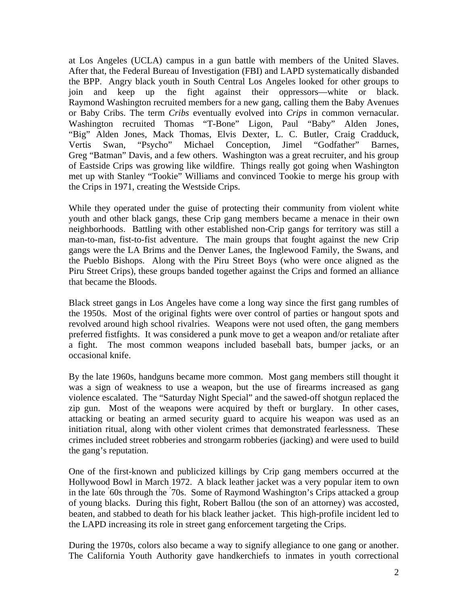at Los Angeles (UCLA) campus in a gun battle with members of the United Slaves. After that, the Federal Bureau of Investigation (FBI) and LAPD systematically disbanded the BPP. Angry black youth in South Central Los Angeles looked for other groups to join and keep up the fight against their oppressors—white or black. Raymond Washington recruited members for a new gang, calling them the Baby Avenues or Baby Cribs. The term *Cribs* eventually evolved into *Crips* in common vernacular. Washington recruited Thomas "T-Bone" Ligon, Paul "Baby" Alden Jones, "Big" Alden Jones, Mack Thomas, Elvis Dexter, L. C. Butler, Craig Cradduck, Vertis Swan, "Psycho" Michael Conception, Jimel "Godfather" Barnes, Greg "Batman" Davis, and a few others. Washington was a great recruiter, and his group of Eastside Crips was growing like wildfire. Things really got going when Washington met up with Stanley "Tookie" Williams and convinced Tookie to merge his group with the Crips in 1971, creating the Westside Crips.

While they operated under the guise of protecting their community from violent white youth and other black gangs, these Crip gang members became a menace in their own neighborhoods. Battling with other established non-Crip gangs for territory was still a man-to-man, fist-to-fist adventure. The main groups that fought against the new Crip gangs were the LA Brims and the Denver Lanes, the Inglewood Family, the Swans, and the Pueblo Bishops. Along with the Piru Street Boys (who were once aligned as the Piru Street Crips), these groups banded together against the Crips and formed an alliance that became the Bloods.

Black street gangs in Los Angeles have come a long way since the first gang rumbles of the 1950s. Most of the original fights were over control of parties or hangout spots and revolved around high school rivalries. Weapons were not used often, the gang members preferred fistfights. It was considered a punk move to get a weapon and/or retaliate after a fight. The most common weapons included baseball bats, bumper jacks, or an occasional knife.

By the late 1960s, handguns became more common. Most gang members still thought it was a sign of weakness to use a weapon, but the use of firearms increased as gang violence escalated. The "Saturday Night Special" and the sawed-off shotgun replaced the zip gun. Most of the weapons were acquired by theft or burglary. In other cases, attacking or beating an armed security guard to acquire his weapon was used as an initiation ritual, along with other violent crimes that demonstrated fearlessness. These crimes included street robberies and strongarm robberies (jacking) and were used to build the gang's reputation.

One of the first-known and publicized killings by Crip gang members occurred at the Hollywood Bowl in March 1972. A black leather jacket was a very popular item to own in the late ' 60s through the ' 70s. Some of Raymond Washington's Crips attacked a group of young blacks. During this fight, Robert Ballou (the son of an attorney) was accosted, beaten, and stabbed to death for his black leather jacket. This high-profile incident led to the LAPD increasing its role in street gang enforcement targeting the Crips.

During the 1970s, colors also became a way to signify allegiance to one gang or another. The California Youth Authority gave handkerchiefs to inmates in youth correctional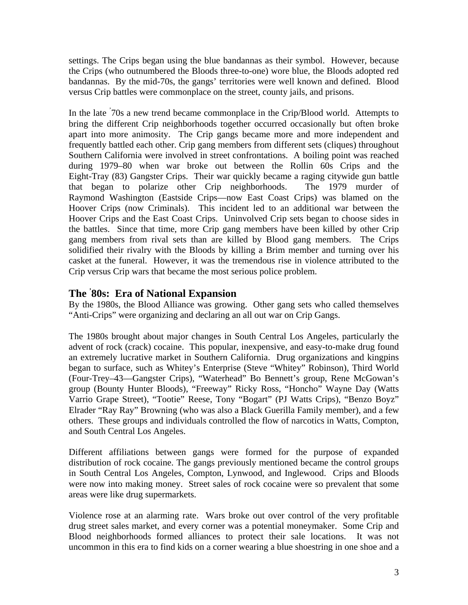settings. The Crips began using the blue bandannas as their symbol. However, because the Crips (who outnumbered the Bloods three-to-one) wore blue, the Bloods adopted red bandannas. By the mid-70s, the gangs' territories were well known and defined. Blood versus Crip battles were commonplace on the street, county jails, and prisons.

In the late  $70s$  a new trend became commonplace in the Crip/Blood world. Attempts to bring the different Crip neighborhoods together occurred occasionally but often broke apart into more animosity. The Crip gangs became more and more independent and frequently battled each other. Crip gang members from different sets (cliques) throughout Southern California were involved in street confrontations. A boiling point was reached during 1979–80 when war broke out between the Rollin 60s Crips and the Eight-Tray (83) Gangster Crips. Their war quickly became a raging citywide gun battle that began to polarize other Crip neighborhoods. The 1979 murder of Raymond Washington (Eastside Crips—now East Coast Crips) was blamed on the Hoover Crips (now Criminals). This incident led to an additional war between the Hoover Crips and the East Coast Crips. Uninvolved Crip sets began to choose sides in the battles. Since that time, more Crip gang members have been killed by other Crip gang members from rival sets than are killed by Blood gang members. The Crips solidified their rivalry with the Bloods by killing a Brim member and turning over his casket at the funeral. However, it was the tremendous rise in violence attributed to the Crip versus Crip wars that became the most serious police problem.

## **The ' 80s: Era of National Expansion**

By the 1980s, the Blood Alliance was growing. Other gang sets who called themselves "Anti-Crips" were organizing and declaring an all out war on Crip Gangs.

The 1980s brought about major changes in South Central Los Angeles, particularly the advent of rock (crack) cocaine. This popular, inexpensive, and easy-to-make drug found an extremely lucrative market in Southern California. Drug organizations and kingpins began to surface, such as Whitey's Enterprise (Steve "Whitey" Robinson), Third World (Four-Trey–43—Gangster Crips), "Waterhead" Bo Bennett's group, Rene McGowan's group (Bounty Hunter Bloods), "Freeway" Ricky Ross, "Honcho" Wayne Day (Watts Varrio Grape Street), "Tootie" Reese, Tony "Bogart" (PJ Watts Crips), "Benzo Boyz" Elrader "Ray Ray" Browning (who was also a Black Guerilla Family member), and a few others. These groups and individuals controlled the flow of narcotics in Watts, Compton, and South Central Los Angeles.

Different affiliations between gangs were formed for the purpose of expanded distribution of rock cocaine. The gangs previously mentioned became the control groups in South Central Los Angeles, Compton, Lynwood, and Inglewood. Crips and Bloods were now into making money. Street sales of rock cocaine were so prevalent that some areas were like drug supermarkets.

Violence rose at an alarming rate. Wars broke out over control of the very profitable drug street sales market, and every corner was a potential moneymaker. Some Crip and Blood neighborhoods formed alliances to protect their sale locations. It was not uncommon in this era to find kids on a corner wearing a blue shoestring in one shoe and a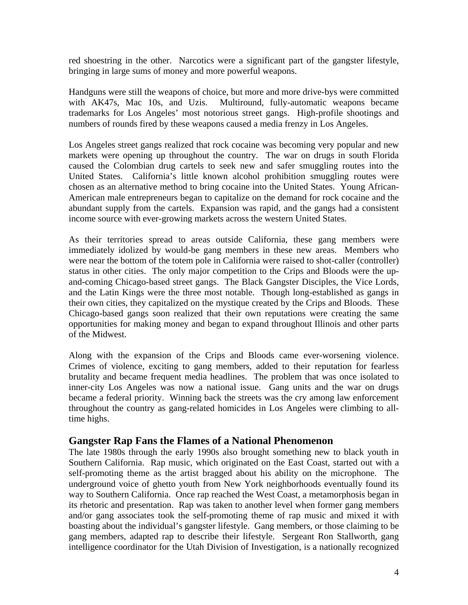red shoestring in the other. Narcotics were a significant part of the gangster lifestyle, bringing in large sums of money and more powerful weapons.

Handguns were still the weapons of choice, but more and more drive-bys were committed with AK47s, Mac 10s, and Uzis. Multiround, fully-automatic weapons became trademarks for Los Angeles' most notorious street gangs. High-profile shootings and numbers of rounds fired by these weapons caused a media frenzy in Los Angeles.

Los Angeles street gangs realized that rock cocaine was becoming very popular and new markets were opening up throughout the country. The war on drugs in south Florida caused the Colombian drug cartels to seek new and safer smuggling routes into the United States. California's little known alcohol prohibition smuggling routes were chosen as an alternative method to bring cocaine into the United States. Young African-American male entrepreneurs began to capitalize on the demand for rock cocaine and the abundant supply from the cartels. Expansion was rapid, and the gangs had a consistent income source with ever-growing markets across the western United States.

As their territories spread to areas outside California, these gang members were immediately idolized by would-be gang members in these new areas. Members who were near the bottom of the totem pole in California were raised to shot-caller (controller) status in other cities. The only major competition to the Crips and Bloods were the upand-coming Chicago-based street gangs. The Black Gangster Disciples, the Vice Lords, and the Latin Kings were the three most notable. Though long-established as gangs in their own cities, they capitalized on the mystique created by the Crips and Bloods. These Chicago-based gangs soon realized that their own reputations were creating the same opportunities for making money and began to expand throughout Illinois and other parts of the Midwest.

Along with the expansion of the Crips and Bloods came ever-worsening violence. Crimes of violence, exciting to gang members, added to their reputation for fearless brutality and became frequent media headlines. The problem that was once isolated to inner-city Los Angeles was now a national issue. Gang units and the war on drugs became a federal priority. Winning back the streets was the cry among law enforcement throughout the country as gang-related homicides in Los Angeles were climbing to alltime highs.

#### **Gangster Rap Fans the Flames of a National Phenomenon**

The late 1980s through the early 1990s also brought something new to black youth in Southern California. Rap music, which originated on the East Coast, started out with a self-promoting theme as the artist bragged about his ability on the microphone. The underground voice of ghetto youth from New York neighborhoods eventually found its way to Southern California. Once rap reached the West Coast, a metamorphosis began in its rhetoric and presentation. Rap was taken to another level when former gang members and/or gang associates took the self-promoting theme of rap music and mixed it with boasting about the individual's gangster lifestyle. Gang members, or those claiming to be gang members, adapted rap to describe their lifestyle. Sergeant Ron Stallworth, gang intelligence coordinator for the Utah Division of Investigation, is a nationally recognized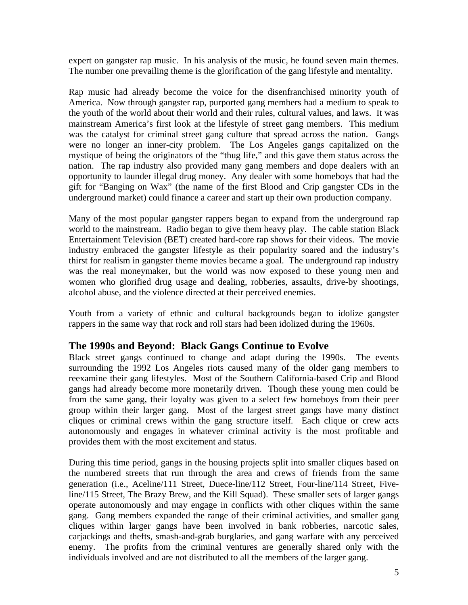expert on gangster rap music. In his analysis of the music, he found seven main themes. The number one prevailing theme is the glorification of the gang lifestyle and mentality.

Rap music had already become the voice for the disenfranchised minority youth of America. Now through gangster rap, purported gang members had a medium to speak to the youth of the world about their world and their rules, cultural values, and laws. It was mainstream America's first look at the lifestyle of street gang members. This medium was the catalyst for criminal street gang culture that spread across the nation. Gangs were no longer an inner-city problem. The Los Angeles gangs capitalized on the mystique of being the originators of the "thug life," and this gave them status across the nation. The rap industry also provided many gang members and dope dealers with an opportunity to launder illegal drug money. Any dealer with some homeboys that had the gift for "Banging on Wax" (the name of the first Blood and Crip gangster CDs in the underground market) could finance a career and start up their own production company.

Many of the most popular gangster rappers began to expand from the underground rap world to the mainstream. Radio began to give them heavy play. The cable station Black Entertainment Television (BET) created hard-core rap shows for their videos. The movie industry embraced the gangster lifestyle as their popularity soared and the industry's thirst for realism in gangster theme movies became a goal. The underground rap industry was the real moneymaker, but the world was now exposed to these young men and women who glorified drug usage and dealing, robberies, assaults, drive-by shootings, alcohol abuse, and the violence directed at their perceived enemies.

Youth from a variety of ethnic and cultural backgrounds began to idolize gangster rappers in the same way that rock and roll stars had been idolized during the 1960s.

#### **The 1990s and Beyond: Black Gangs Continue to Evolve**

Black street gangs continued to change and adapt during the 1990s. The events surrounding the 1992 Los Angeles riots caused many of the older gang members to reexamine their gang lifestyles. Most of the Southern California-based Crip and Blood gangs had already become more monetarily driven. Though these young men could be from the same gang, their loyalty was given to a select few homeboys from their peer group within their larger gang. Most of the largest street gangs have many distinct cliques or criminal crews within the gang structure itself. Each clique or crew acts autonomously and engages in whatever criminal activity is the most profitable and provides them with the most excitement and status.

During this time period, gangs in the housing projects split into smaller cliques based on the numbered streets that run through the area and crews of friends from the same generation (i.e., Aceline/111 Street, Duece-line/112 Street, Four-line/114 Street, Fiveline/115 Street, The Brazy Brew, and the Kill Squad). These smaller sets of larger gangs operate autonomously and may engage in conflicts with other cliques within the same gang. Gang members expanded the range of their criminal activities, and smaller gang cliques within larger gangs have been involved in bank robberies, narcotic sales, carjackings and thefts, smash-and-grab burglaries, and gang warfare with any perceived enemy. The profits from the criminal ventures are generally shared only with the individuals involved and are not distributed to all the members of the larger gang.